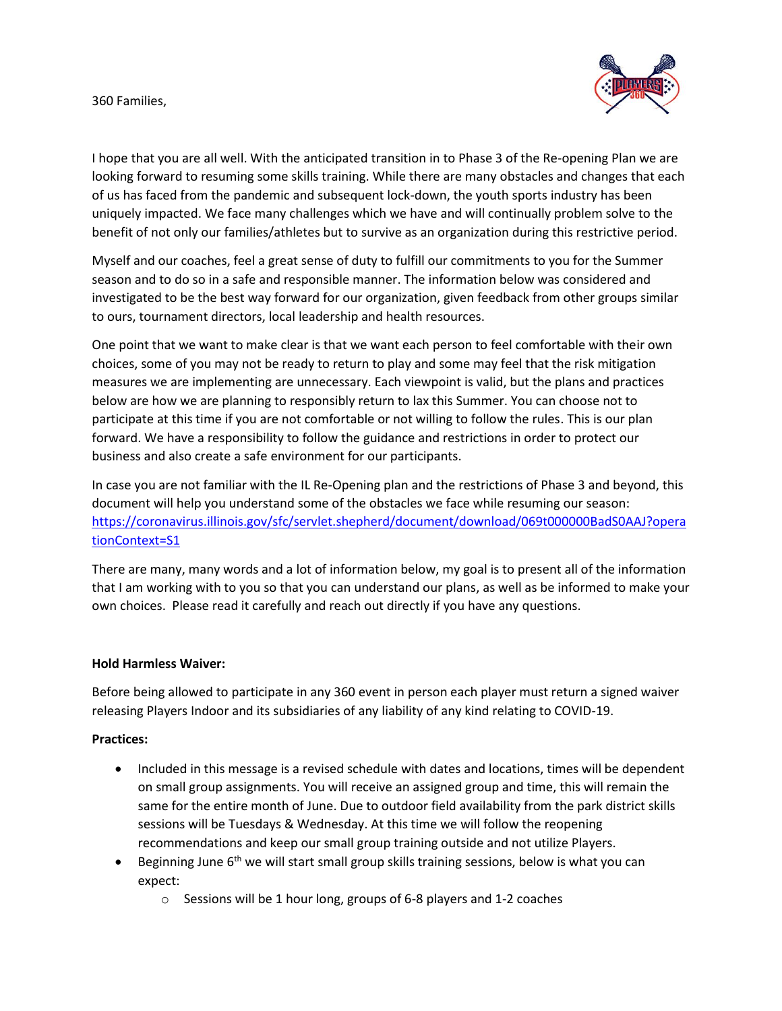### 360 Families,



I hope that you are all well. With the anticipated transition in to Phase 3 of the Re-opening Plan we are looking forward to resuming some skills training. While there are many obstacles and changes that each of us has faced from the pandemic and subsequent lock-down, the youth sports industry has been uniquely impacted. We face many challenges which we have and will continually problem solve to the benefit of not only our families/athletes but to survive as an organization during this restrictive period.

Myself and our coaches, feel a great sense of duty to fulfill our commitments to you for the Summer season and to do so in a safe and responsible manner. The information below was considered and investigated to be the best way forward for our organization, given feedback from other groups similar to ours, tournament directors, local leadership and health resources.

One point that we want to make clear is that we want each person to feel comfortable with their own choices, some of you may not be ready to return to play and some may feel that the risk mitigation measures we are implementing are unnecessary. Each viewpoint is valid, but the plans and practices below are how we are planning to responsibly return to lax this Summer. You can choose not to participate at this time if you are not comfortable or not willing to follow the rules. This is our plan forward. We have a responsibility to follow the guidance and restrictions in order to protect our business and also create a safe environment for our participants.

In case you are not familiar with the IL Re-Opening plan and the restrictions of Phase 3 and beyond, this document will help you understand some of the obstacles we face while resuming our season: [https://coronavirus.illinois.gov/sfc/servlet.shepherd/document/download/069t000000BadS0AAJ?opera](https://coronavirus.illinois.gov/sfc/servlet.shepherd/document/download/069t000000BadS0AAJ?operationContext=S1) [tionContext=S1](https://coronavirus.illinois.gov/sfc/servlet.shepherd/document/download/069t000000BadS0AAJ?operationContext=S1)

There are many, many words and a lot of information below, my goal is to present all of the information that I am working with to you so that you can understand our plans, as well as be informed to make your own choices. Please read it carefully and reach out directly if you have any questions.

### **Hold Harmless Waiver:**

Before being allowed to participate in any 360 event in person each player must return a signed waiver releasing Players Indoor and its subsidiaries of any liability of any kind relating to COVID-19.

### **Practices:**

- Included in this message is a revised schedule with dates and locations, times will be dependent on small group assignments. You will receive an assigned group and time, this will remain the same for the entire month of June. Due to outdoor field availability from the park district skills sessions will be Tuesdays & Wednesday. At this time we will follow the reopening recommendations and keep our small group training outside and not utilize Players.
- **•** Beginning June  $6<sup>th</sup>$  we will start small group skills training sessions, below is what you can expect:
	- o Sessions will be 1 hour long, groups of 6-8 players and 1-2 coaches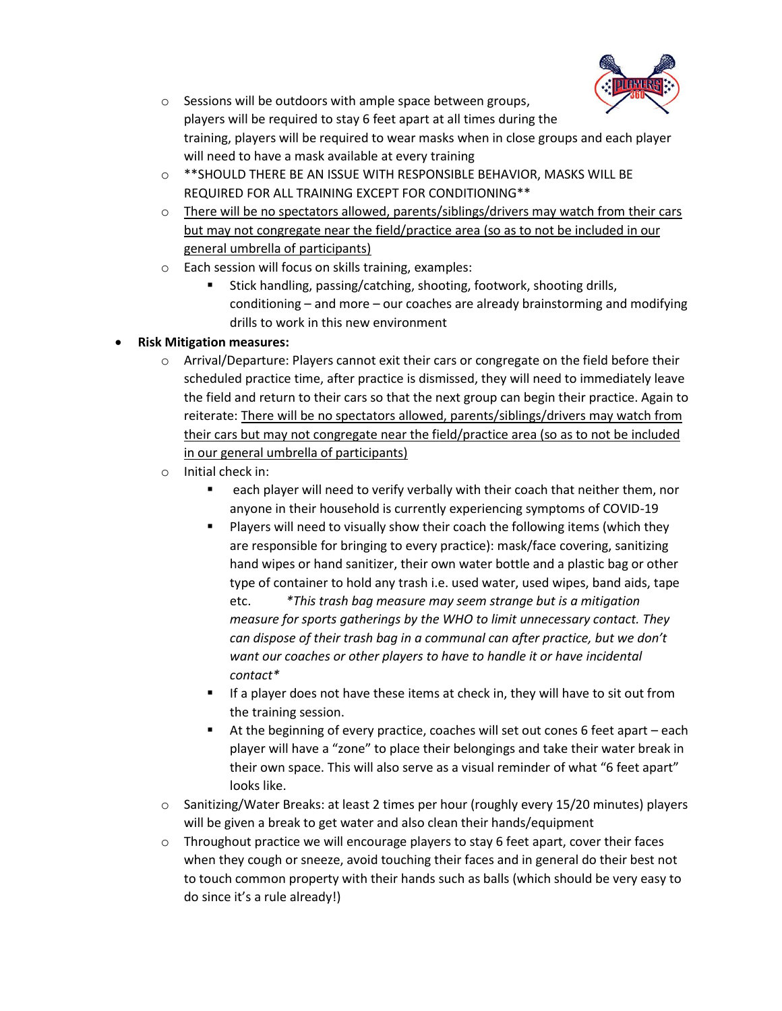

- o Sessions will be outdoors with ample space between groups, players will be required to stay 6 feet apart at all times during the training, players will be required to wear masks when in close groups and each player will need to have a mask available at every training
- o \*\*SHOULD THERE BE AN ISSUE WITH RESPONSIBLE BEHAVIOR, MASKS WILL BE REQUIRED FOR ALL TRAINING EXCEPT FOR CONDITIONING\*\*
- $\circ$  There will be no spectators allowed, parents/siblings/drivers may watch from their cars but may not congregate near the field/practice area (so as to not be included in our general umbrella of participants)
- o Each session will focus on skills training, examples:
	- Stick handling, passing/catching, shooting, footwork, shooting drills, conditioning – and more – our coaches are already brainstorming and modifying drills to work in this new environment

# • **Risk Mitigation measures:**

- $\circ$  Arrival/Departure: Players cannot exit their cars or congregate on the field before their scheduled practice time, after practice is dismissed, they will need to immediately leave the field and return to their cars so that the next group can begin their practice. Again to reiterate: There will be no spectators allowed, parents/siblings/drivers may watch from their cars but may not congregate near the field/practice area (so as to not be included in our general umbrella of participants)
- o Initial check in:
	- each player will need to verify verbally with their coach that neither them, nor anyone in their household is currently experiencing symptoms of COVID-19
	- Players will need to visually show their coach the following items (which they are responsible for bringing to every practice): mask/face covering, sanitizing hand wipes or hand sanitizer, their own water bottle and a plastic bag or other type of container to hold any trash i.e. used water, used wipes, band aids, tape etc. *\*This trash bag measure may seem strange but is a mitigation measure for sports gatherings by the WHO to limit unnecessary contact. They can dispose of their trash bag in a communal can after practice, but we don't want our coaches or other players to have to handle it or have incidental contact\**
	- **E** If a player does not have these items at check in, they will have to sit out from the training session.
	- At the beginning of every practice, coaches will set out cones 6 feet apart each player will have a "zone" to place their belongings and take their water break in their own space. This will also serve as a visual reminder of what "6 feet apart" looks like.
- $\circ$  Sanitizing/Water Breaks: at least 2 times per hour (roughly every 15/20 minutes) players will be given a break to get water and also clean their hands/equipment
- $\circ$  Throughout practice we will encourage players to stay 6 feet apart, cover their faces when they cough or sneeze, avoid touching their faces and in general do their best not to touch common property with their hands such as balls (which should be very easy to do since it's a rule already!)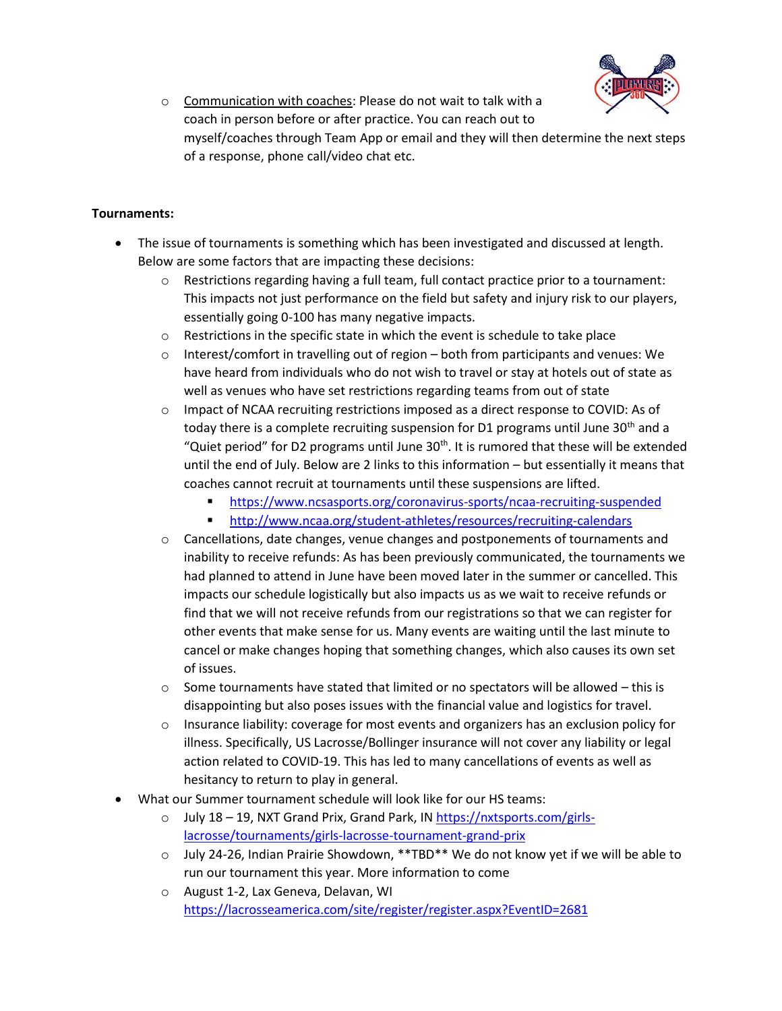

o Communication with coaches: Please do not wait to talk with a coach in person before or after practice. You can reach out to myself/coaches through Team App or email and they will then determine the next steps of a response, phone call/video chat etc.

## **Tournaments:**

- The issue of tournaments is something which has been investigated and discussed at length. Below are some factors that are impacting these decisions:
	- o Restrictions regarding having a full team, full contact practice prior to a tournament: This impacts not just performance on the field but safety and injury risk to our players, essentially going 0-100 has many negative impacts.
	- o Restrictions in the specific state in which the event is schedule to take place
	- $\circ$  Interest/comfort in travelling out of region both from participants and venues: We have heard from individuals who do not wish to travel or stay at hotels out of state as well as venues who have set restrictions regarding teams from out of state
	- $\circ$  Impact of NCAA recruiting restrictions imposed as a direct response to COVID: As of today there is a complete recruiting suspension for D1 programs until June  $30<sup>th</sup>$  and a "Quiet period" for D2 programs until June  $30<sup>th</sup>$ . It is rumored that these will be extended until the end of July. Below are 2 links to this information – but essentially it means that coaches cannot recruit at tournaments until these suspensions are lifted.
		- <https://www.ncsasports.org/coronavirus-sports/ncaa-recruiting-suspended>
		- <http://www.ncaa.org/student-athletes/resources/recruiting-calendars>
	- $\circ$  Cancellations, date changes, venue changes and postponements of tournaments and inability to receive refunds: As has been previously communicated, the tournaments we had planned to attend in June have been moved later in the summer or cancelled. This impacts our schedule logistically but also impacts us as we wait to receive refunds or find that we will not receive refunds from our registrations so that we can register for other events that make sense for us. Many events are waiting until the last minute to cancel or make changes hoping that something changes, which also causes its own set of issues.
	- $\circ$  Some tournaments have stated that limited or no spectators will be allowed this is disappointing but also poses issues with the financial value and logistics for travel.
	- $\circ$  Insurance liability: coverage for most events and organizers has an exclusion policy for illness. Specifically, US Lacrosse/Bollinger insurance will not cover any liability or legal action related to COVID-19. This has led to many cancellations of events as well as hesitancy to return to play in general.
- What our Summer tournament schedule will look like for our HS teams:
	- $\circ$  July 18 19, NXT Grand Prix, Grand Park, I[N https://nxtsports.com/girls](https://nxtsports.com/girls-lacrosse/tournaments/girls-lacrosse-tournament-grand-prix)[lacrosse/tournaments/girls-lacrosse-tournament-grand-prix](https://nxtsports.com/girls-lacrosse/tournaments/girls-lacrosse-tournament-grand-prix)
	- o July 24-26, Indian Prairie Showdown, \*\*TBD\*\* We do not know yet if we will be able to run our tournament this year. More information to come
	- o August 1-2, Lax Geneva, Delavan, WI <https://lacrosseamerica.com/site/register/register.aspx?EventID=2681>